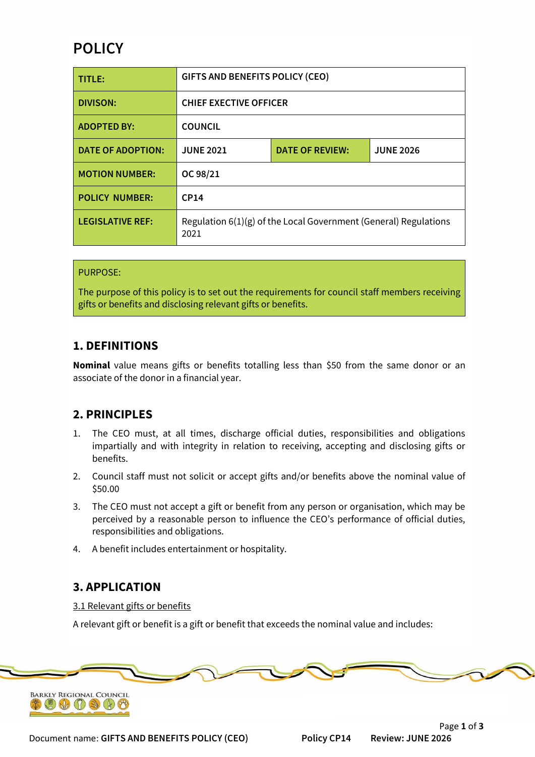# **POLICY**

| TITLE:                   | <b>GIFTS AND BENEFITS POLICY (CEO)</b>                                   |                        |                  |
|--------------------------|--------------------------------------------------------------------------|------------------------|------------------|
| <b>DIVISON:</b>          | <b>CHIEF EXECTIVE OFFICER</b>                                            |                        |                  |
| <b>ADOPTED BY:</b>       | <b>COUNCIL</b>                                                           |                        |                  |
| <b>DATE OF ADOPTION:</b> | <b>JUNE 2021</b>                                                         | <b>DATE OF REVIEW:</b> | <b>JUNE 2026</b> |
| <b>MOTION NUMBER:</b>    | OC 98/21                                                                 |                        |                  |
| <b>POLICY NUMBER:</b>    | CP14                                                                     |                        |                  |
| <b>LEGISLATIVE REF:</b>  | Regulation 6(1)(g) of the Local Government (General) Regulations<br>2021 |                        |                  |

#### PURPOSE:

The purpose of this policy is to set out the requirements for council staff members receiving gifts or benefits and disclosing relevant gifts or benefits.

### **1. DEFINITIONS**

**Nominal** value means gifts or benefits totalling less than \$50 from the same donor or an associate of the donor in a financial year.

## **2. PRINCIPLES**

- 1. The CEO must, at all times, discharge official duties, responsibilities and obligations impartially and with integrity in relation to receiving, accepting and disclosing gifts or benefits.
- 2. Council staff must not solicit or accept gifts and/or benefits above the nominal value of \$50.00
- 3. The CEO must not accept a gift or benefit from any person or organisation, which may be perceived by a reasonable person to influence the CEO's performance of official duties, responsibilities and obligations.
- 4. A benefit includes entertainment or hospitality.

## **3. APPLICATION**

#### 3.1 Relevant gifts or benefits

A relevant gift or benefit is a gift or benefit that exceeds the nominal value and includes:



Document name: **GIFTS AND BENEFITS POLICY (CEO) Policy CP14 Review: JUNE 2026**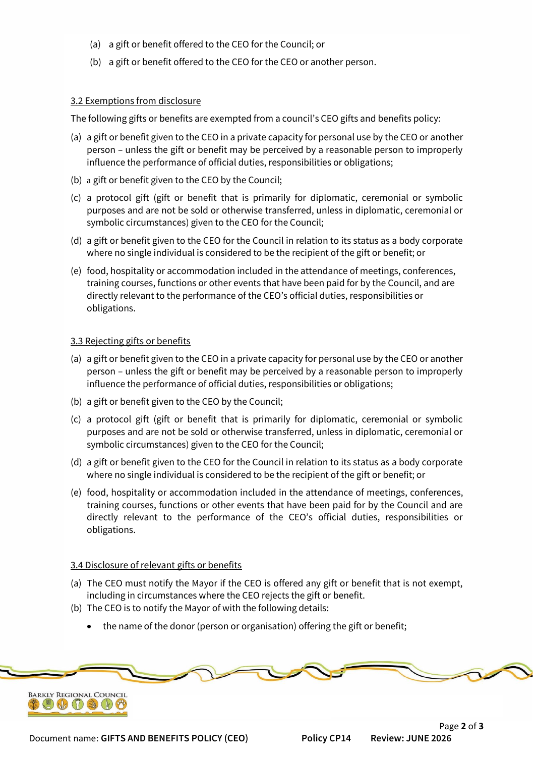- (a) a gift or benefit offered to the CEO for the Council; or
- (b) a gift or benefit offered to the CEO for the CEO or another person.

#### 3.2 Exemptions from disclosure

The following gifts or benefits are exempted from a council's CEO gifts and benefits policy:

- (a) a gift or benefit given to the CEO in a private capacity for personal use by the CEO or another person – unless the gift or benefit may be perceived by a reasonable person to improperly influence the performance of official duties, responsibilities or obligations;
- (b) a gift or benefit given to the CEO by the Council;
- (c) a protocol gift (gift or benefit that is primarily for diplomatic, ceremonial or symbolic purposes and are not be sold or otherwise transferred, unless in diplomatic, ceremonial or symbolic circumstances) given to the CEO for the Council;
- (d) a gift or benefit given to the CEO for the Council in relation to its status as a body corporate where no single individual is considered to be the recipient of the gift or benefit; or
- (e) food, hospitality or accommodation included in the attendance of meetings, conferences, training courses, functions or other events that have been paid for by the Council, and are directly relevant to the performance of the CEO's official duties, responsibilities or obligations.

#### 3.3 Rejecting gifts or benefits

- (a) a gift or benefit given to the CEO in a private capacity for personal use by the CEO or another person – unless the gift or benefit may be perceived by a reasonable person to improperly influence the performance of official duties, responsibilities or obligations;
- (b) a gift or benefit given to the CEO by the Council;
- (c) a protocol gift (gift or benefit that is primarily for diplomatic, ceremonial or symbolic purposes and are not be sold or otherwise transferred, unless in diplomatic, ceremonial or symbolic circumstances) given to the CEO for the Council;
- (d) a gift or benefit given to the CEO for the Council in relation to its status as a body corporate where no single individual is considered to be the recipient of the gift or benefit; or
- (e) food, hospitality or accommodation included in the attendance of meetings, conferences, training courses, functions or other events that have been paid for by the Council and are directly relevant to the performance of the CEO's official duties, responsibilities or obligations.

#### 3.4 Disclosure of relevant gifts or benefits

- (a) The CEO must notify the Mayor if the CEO is offered any gift or benefit that is not exempt, including in circumstances where the CEO rejects the gift or benefit.
- (b) The CEO is to notify the Mayor of with the following details:
	- the name of the donor (person or organisation) offering the gift or benefit;

Page **2** of **3**